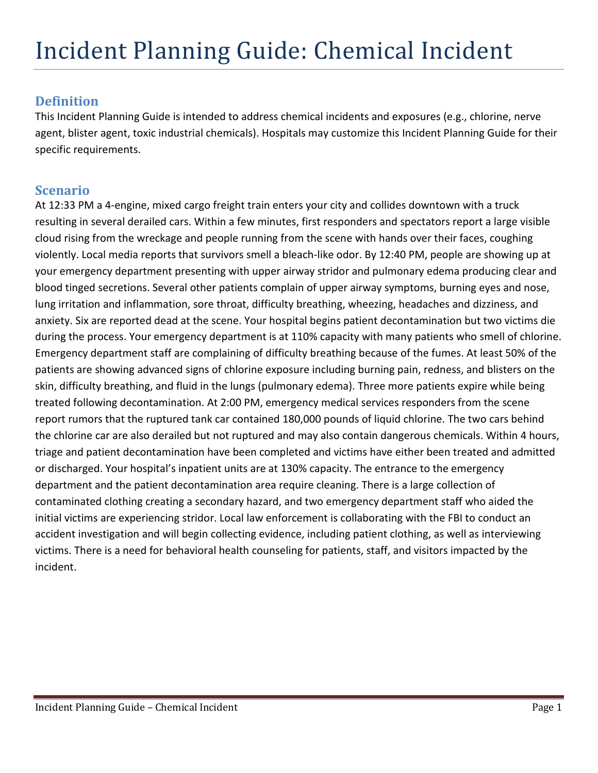## **Definition**

This Incident Planning Guide is intended to address chemical incidents and exposures (e.g., chlorine, nerve agent, blister agent, toxic industrial chemicals). Hospitals may customize this Incident Planning Guide for their specific requirements.

## **Scenario**

At 12:33 PM a 4-engine, mixed cargo freight train enters your city and collides downtown with a truck resulting in several derailed cars. Within a few minutes, first responders and spectators report a large visible cloud rising from the wreckage and people running from the scene with hands over their faces, coughing violently. Local media reports that survivors smell a bleach-like odor. By 12:40 PM, people are showing up at your emergency department presenting with upper airway stridor and pulmonary edema producing clear and blood tinged secretions. Several other patients complain of upper airway symptoms, burning eyes and nose, lung irritation and inflammation, sore throat, difficulty breathing, wheezing, headaches and dizziness, and anxiety. Six are reported dead at the scene. Your hospital begins patient decontamination but two victims die during the process. Your emergency department is at 110% capacity with many patients who smell of chlorine. Emergency department staff are complaining of difficulty breathing because of the fumes. At least 50% of the patients are showing advanced signs of chlorine exposure including burning pain, redness, and blisters on the skin, difficulty breathing, and fluid in the lungs (pulmonary edema). Three more patients expire while being treated following decontamination. At 2:00 PM, emergency medical services responders from the scene report rumors that the ruptured tank car contained 180,000 pounds of liquid chlorine. The two cars behind the chlorine car are also derailed but not ruptured and may also contain dangerous chemicals. Within 4 hours, triage and patient decontamination have been completed and victims have either been treated and admitted or discharged. Your hospital's inpatient units are at 130% capacity. The entrance to the emergency department and the patient decontamination area require cleaning. There is a large collection of contaminated clothing creating a secondary hazard, and two emergency department staff who aided the initial victims are experiencing stridor. Local law enforcement is collaborating with the FBI to conduct an accident investigation and will begin collecting evidence, including patient clothing, as well as interviewing victims. There is a need for behavioral health counseling for patients, staff, and visitors impacted by the incident.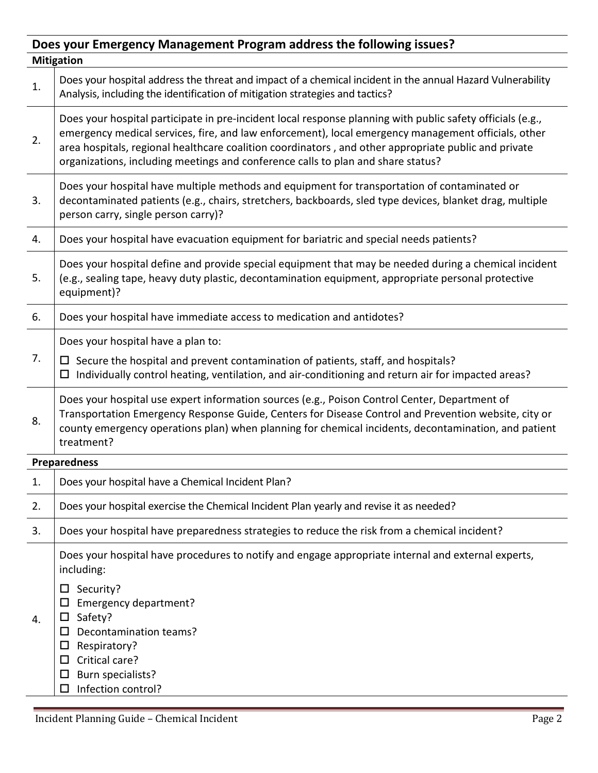| Does your Emergency Management Program address the following issues? |                                                                                                                                                                                                                                                                                                                                                                                                               |  |  |  |
|----------------------------------------------------------------------|---------------------------------------------------------------------------------------------------------------------------------------------------------------------------------------------------------------------------------------------------------------------------------------------------------------------------------------------------------------------------------------------------------------|--|--|--|
| <b>Mitigation</b>                                                    |                                                                                                                                                                                                                                                                                                                                                                                                               |  |  |  |
| 1.                                                                   | Does your hospital address the threat and impact of a chemical incident in the annual Hazard Vulnerability<br>Analysis, including the identification of mitigation strategies and tactics?                                                                                                                                                                                                                    |  |  |  |
| 2.                                                                   | Does your hospital participate in pre-incident local response planning with public safety officials (e.g.,<br>emergency medical services, fire, and law enforcement), local emergency management officials, other<br>area hospitals, regional healthcare coalition coordinators, and other appropriate public and private<br>organizations, including meetings and conference calls to plan and share status? |  |  |  |
| 3.                                                                   | Does your hospital have multiple methods and equipment for transportation of contaminated or<br>decontaminated patients (e.g., chairs, stretchers, backboards, sled type devices, blanket drag, multiple<br>person carry, single person carry)?                                                                                                                                                               |  |  |  |
| 4.                                                                   | Does your hospital have evacuation equipment for bariatric and special needs patients?                                                                                                                                                                                                                                                                                                                        |  |  |  |
| 5.                                                                   | Does your hospital define and provide special equipment that may be needed during a chemical incident<br>(e.g., sealing tape, heavy duty plastic, decontamination equipment, appropriate personal protective<br>equipment)?                                                                                                                                                                                   |  |  |  |
| 6.                                                                   | Does your hospital have immediate access to medication and antidotes?                                                                                                                                                                                                                                                                                                                                         |  |  |  |
|                                                                      | Does your hospital have a plan to:                                                                                                                                                                                                                                                                                                                                                                            |  |  |  |
| 7.                                                                   | $\Box$ Secure the hospital and prevent contamination of patients, staff, and hospitals?<br>Individually control heating, ventilation, and air-conditioning and return air for impacted areas?<br>□                                                                                                                                                                                                            |  |  |  |
| 8.                                                                   | Does your hospital use expert information sources (e.g., Poison Control Center, Department of<br>Transportation Emergency Response Guide, Centers for Disease Control and Prevention website, city or<br>county emergency operations plan) when planning for chemical incidents, decontamination, and patient<br>treatment?                                                                                   |  |  |  |
|                                                                      | <b>Preparedness</b>                                                                                                                                                                                                                                                                                                                                                                                           |  |  |  |
| 1.                                                                   | Does your hospital have a Chemical Incident Plan?                                                                                                                                                                                                                                                                                                                                                             |  |  |  |
| 2.                                                                   | Does your hospital exercise the Chemical Incident Plan yearly and revise it as needed?                                                                                                                                                                                                                                                                                                                        |  |  |  |
| 3.                                                                   | Does your hospital have preparedness strategies to reduce the risk from a chemical incident?                                                                                                                                                                                                                                                                                                                  |  |  |  |
| 4.                                                                   | Does your hospital have procedures to notify and engage appropriate internal and external experts,<br>including:<br>Security?<br>ப<br>Emergency department?<br>Safety?<br>□<br>Decontamination teams?<br>□<br>Respiratory?<br>ப<br>Critical care?<br>Burn specialists?<br>$\Box$<br>Infection control?<br>□                                                                                                   |  |  |  |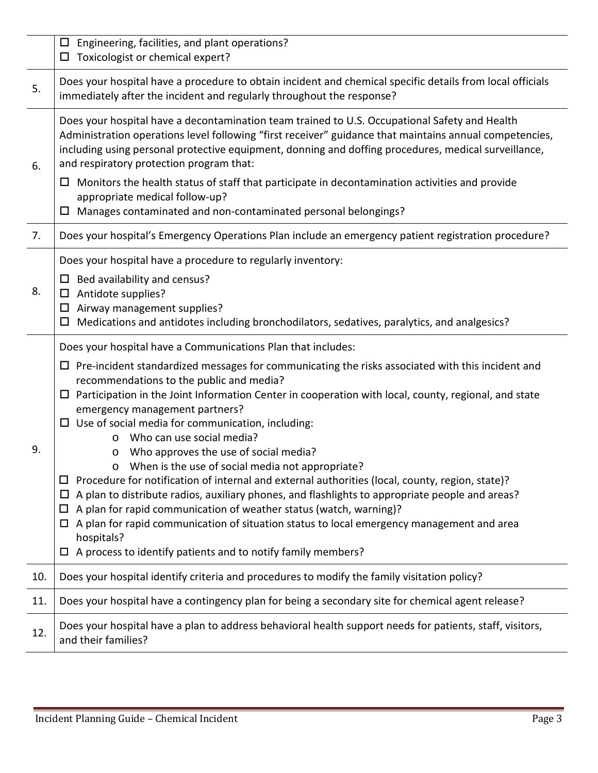|     | Engineering, facilities, and plant operations?<br>$\Box$<br>Toxicologist or chemical expert?<br>$\Box$                                                                                                                                                                                                                                                                                                                                                                                                                                                                                                                                                                                                                                                                                                                                                                                                                                                                                                                                                                 |
|-----|------------------------------------------------------------------------------------------------------------------------------------------------------------------------------------------------------------------------------------------------------------------------------------------------------------------------------------------------------------------------------------------------------------------------------------------------------------------------------------------------------------------------------------------------------------------------------------------------------------------------------------------------------------------------------------------------------------------------------------------------------------------------------------------------------------------------------------------------------------------------------------------------------------------------------------------------------------------------------------------------------------------------------------------------------------------------|
| 5.  | Does your hospital have a procedure to obtain incident and chemical specific details from local officials<br>immediately after the incident and regularly throughout the response?                                                                                                                                                                                                                                                                                                                                                                                                                                                                                                                                                                                                                                                                                                                                                                                                                                                                                     |
| 6.  | Does your hospital have a decontamination team trained to U.S. Occupational Safety and Health<br>Administration operations level following "first receiver" guidance that maintains annual competencies,<br>including using personal protective equipment, donning and doffing procedures, medical surveillance,<br>and respiratory protection program that:<br>Monitors the health status of staff that participate in decontamination activities and provide<br>Ц<br>appropriate medical follow-up?<br>Manages contaminated and non-contaminated personal belongings?<br>$\Box$                                                                                                                                                                                                                                                                                                                                                                                                                                                                                      |
| 7.  | Does your hospital's Emergency Operations Plan include an emergency patient registration procedure?                                                                                                                                                                                                                                                                                                                                                                                                                                                                                                                                                                                                                                                                                                                                                                                                                                                                                                                                                                    |
| 8.  | Does your hospital have a procedure to regularly inventory:<br>$\Box$ Bed availability and census?<br>Antidote supplies?<br>$\Box$<br>Airway management supplies?<br>Ц<br>Medications and antidotes including bronchodilators, sedatives, paralytics, and analgesics?<br>Ц                                                                                                                                                                                                                                                                                                                                                                                                                                                                                                                                                                                                                                                                                                                                                                                             |
| 9.  | Does your hospital have a Communications Plan that includes:<br>Pre-incident standardized messages for communicating the risks associated with this incident and<br>$\Box$<br>recommendations to the public and media?<br>Participation in the Joint Information Center in cooperation with local, county, regional, and state<br>$\Box$<br>emergency management partners?<br>$\Box$ Use of social media for communication, including:<br>Who can use social media?<br>$\circ$<br>Who approves the use of social media?<br>O<br>When is the use of social media not appropriate?<br>$\circ$<br>Procedure for notification of internal and external authorities (local, county, region, state)?<br>A plan to distribute radios, auxiliary phones, and flashlights to appropriate people and areas?<br>ப<br>A plan for rapid communication of weather status (watch, warning)?<br>◻<br>A plan for rapid communication of situation status to local emergency management and area<br>□<br>hospitals?<br>A process to identify patients and to notify family members?<br>□ |
| 10. | Does your hospital identify criteria and procedures to modify the family visitation policy?                                                                                                                                                                                                                                                                                                                                                                                                                                                                                                                                                                                                                                                                                                                                                                                                                                                                                                                                                                            |
| 11. | Does your hospital have a contingency plan for being a secondary site for chemical agent release?                                                                                                                                                                                                                                                                                                                                                                                                                                                                                                                                                                                                                                                                                                                                                                                                                                                                                                                                                                      |
| 12. | Does your hospital have a plan to address behavioral health support needs for patients, staff, visitors,<br>and their families?                                                                                                                                                                                                                                                                                                                                                                                                                                                                                                                                                                                                                                                                                                                                                                                                                                                                                                                                        |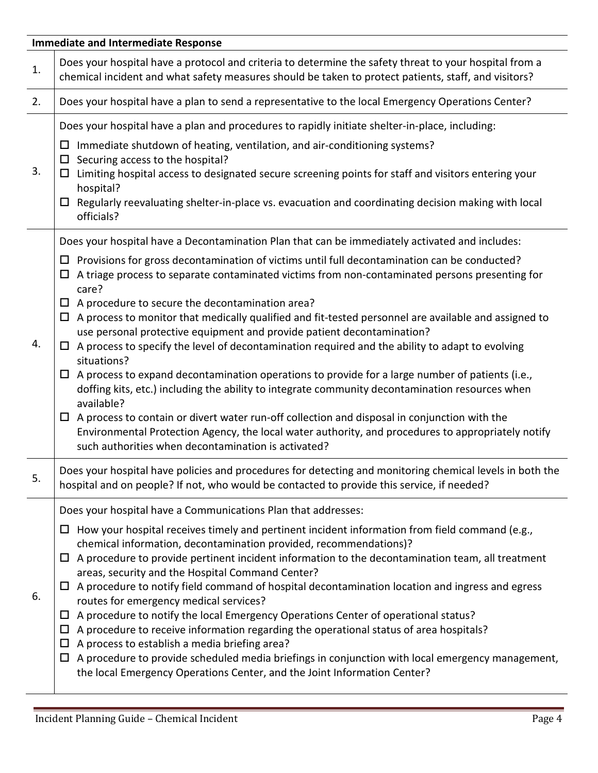|    | <b>Immediate and Intermediate Response</b>                                                                                                                                                                                                                                                                                                                                                                                                                                                                                                                                                                                                                                                                                                                                                                                                                                                                                                                                                                                                                                                                                                                                                       |
|----|--------------------------------------------------------------------------------------------------------------------------------------------------------------------------------------------------------------------------------------------------------------------------------------------------------------------------------------------------------------------------------------------------------------------------------------------------------------------------------------------------------------------------------------------------------------------------------------------------------------------------------------------------------------------------------------------------------------------------------------------------------------------------------------------------------------------------------------------------------------------------------------------------------------------------------------------------------------------------------------------------------------------------------------------------------------------------------------------------------------------------------------------------------------------------------------------------|
| 1. | Does your hospital have a protocol and criteria to determine the safety threat to your hospital from a<br>chemical incident and what safety measures should be taken to protect patients, staff, and visitors?                                                                                                                                                                                                                                                                                                                                                                                                                                                                                                                                                                                                                                                                                                                                                                                                                                                                                                                                                                                   |
| 2. | Does your hospital have a plan to send a representative to the local Emergency Operations Center?                                                                                                                                                                                                                                                                                                                                                                                                                                                                                                                                                                                                                                                                                                                                                                                                                                                                                                                                                                                                                                                                                                |
| 3. | Does your hospital have a plan and procedures to rapidly initiate shelter-in-place, including:<br>Immediate shutdown of heating, ventilation, and air-conditioning systems?<br>$\Box$<br>$\Box$ Securing access to the hospital?<br>$\Box$ Limiting hospital access to designated secure screening points for staff and visitors entering your<br>hospital?<br>$\Box$ Regularly reevaluating shelter-in-place vs. evacuation and coordinating decision making with local<br>officials?                                                                                                                                                                                                                                                                                                                                                                                                                                                                                                                                                                                                                                                                                                           |
| 4. | Does your hospital have a Decontamination Plan that can be immediately activated and includes:<br>$\Box$ Provisions for gross decontamination of victims until full decontamination can be conducted?<br>A triage process to separate contaminated victims from non-contaminated persons presenting for<br>Ц<br>care?<br>$\Box$ A procedure to secure the decontamination area?<br>$\Box$ A process to monitor that medically qualified and fit-tested personnel are available and assigned to<br>use personal protective equipment and provide patient decontamination?<br>$\Box$ A process to specify the level of decontamination required and the ability to adapt to evolving<br>situations?<br>$\Box$ A process to expand decontamination operations to provide for a large number of patients (i.e.,<br>doffing kits, etc.) including the ability to integrate community decontamination resources when<br>available?<br>$\Box$ A process to contain or divert water run-off collection and disposal in conjunction with the<br>Environmental Protection Agency, the local water authority, and procedures to appropriately notify<br>such authorities when decontamination is activated? |
| 5. | Does your hospital have policies and procedures for detecting and monitoring chemical levels in both the<br>hospital and on people? If not, who would be contacted to provide this service, if needed?                                                                                                                                                                                                                                                                                                                                                                                                                                                                                                                                                                                                                                                                                                                                                                                                                                                                                                                                                                                           |
| 6. | Does your hospital have a Communications Plan that addresses:<br>How your hospital receives timely and pertinent incident information from field command (e.g.,<br>Ц<br>chemical information, decontamination provided, recommendations)?<br>$\Box$ A procedure to provide pertinent incident information to the decontamination team, all treatment<br>areas, security and the Hospital Command Center?<br>$\Box$ A procedure to notify field command of hospital decontamination location and ingress and egress<br>routes for emergency medical services?<br>A procedure to notify the local Emergency Operations Center of operational status?<br>ш<br>A procedure to receive information regarding the operational status of area hospitals?<br>Ц<br>A process to establish a media briefing area?<br>$\Box$<br>A procedure to provide scheduled media briefings in conjunction with local emergency management,<br>$\Box$<br>the local Emergency Operations Center, and the Joint Information Center?                                                                                                                                                                                      |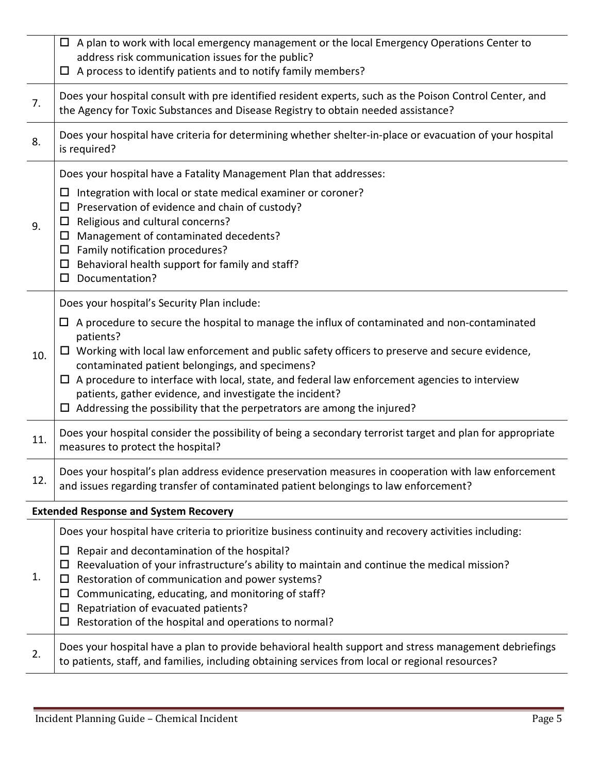|     | $\Box$ A plan to work with local emergency management or the local Emergency Operations Center to<br>address risk communication issues for the public?<br>$\Box$ A process to identify patients and to notify family members?                                                                                                                                                                                                                                                                                                      |
|-----|------------------------------------------------------------------------------------------------------------------------------------------------------------------------------------------------------------------------------------------------------------------------------------------------------------------------------------------------------------------------------------------------------------------------------------------------------------------------------------------------------------------------------------|
| 7.  | Does your hospital consult with pre identified resident experts, such as the Poison Control Center, and<br>the Agency for Toxic Substances and Disease Registry to obtain needed assistance?                                                                                                                                                                                                                                                                                                                                       |
| 8.  | Does your hospital have criteria for determining whether shelter-in-place or evacuation of your hospital<br>is required?                                                                                                                                                                                                                                                                                                                                                                                                           |
|     | Does your hospital have a Fatality Management Plan that addresses:                                                                                                                                                                                                                                                                                                                                                                                                                                                                 |
| 9.  | Integration with local or state medical examiner or coroner?<br>Ц<br>Preservation of evidence and chain of custody?<br>$\Box$<br>Religious and cultural concerns?<br>Ц<br>Management of contaminated decedents?<br>$\Box$<br>Family notification procedures?<br>ц<br>Behavioral health support for family and staff?<br>$\Box$<br>Documentation?<br>$\Box$                                                                                                                                                                         |
|     | Does your hospital's Security Plan include:                                                                                                                                                                                                                                                                                                                                                                                                                                                                                        |
| 10. | $\Box$ A procedure to secure the hospital to manage the influx of contaminated and non-contaminated<br>patients?<br>$\Box$ Working with local law enforcement and public safety officers to preserve and secure evidence,<br>contaminated patient belongings, and specimens?<br>$\Box$ A procedure to interface with local, state, and federal law enforcement agencies to interview<br>patients, gather evidence, and investigate the incident?<br>$\Box$ Addressing the possibility that the perpetrators are among the injured? |
| 11. | Does your hospital consider the possibility of being a secondary terrorist target and plan for appropriate<br>measures to protect the hospital?                                                                                                                                                                                                                                                                                                                                                                                    |
| 12. | Does your hospital's plan address evidence preservation measures in cooperation with law enforcement<br>and issues regarding transfer of contaminated patient belongings to law enforcement?                                                                                                                                                                                                                                                                                                                                       |
|     | <b>Extended Response and System Recovery</b>                                                                                                                                                                                                                                                                                                                                                                                                                                                                                       |
| 1.  | Does your hospital have criteria to prioritize business continuity and recovery activities including:<br>Repair and decontamination of the hospital?<br>Ц<br>Reevaluation of your infrastructure's ability to maintain and continue the medical mission?<br>Ц<br>Restoration of communication and power systems?<br>□<br>Communicating, educating, and monitoring of staff?<br>Ц<br>Repatriation of evacuated patients?<br>Ц<br>Restoration of the hospital and operations to normal?<br>Ц                                         |
| 2.  | Does your hospital have a plan to provide behavioral health support and stress management debriefings<br>to patients, staff, and families, including obtaining services from local or regional resources?                                                                                                                                                                                                                                                                                                                          |